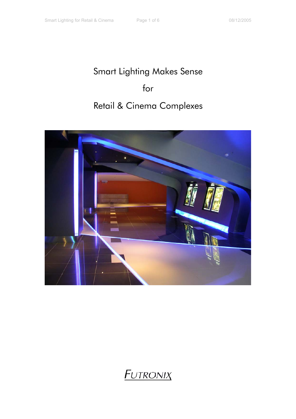## Smart Lighting Makes Sense for Retail & Cinema Complexes



## **FUTRONIX**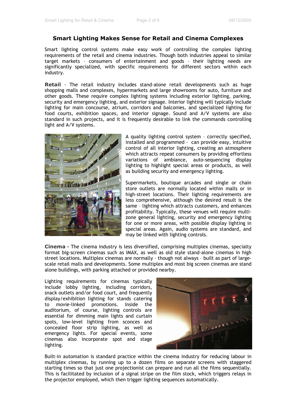## **Smart Lighting Makes Sense for Retail and Cinema Complexes**

Smart lighting control systems make easy work of controlling the complex lighting requirements of the retail and cinema industries. Though both industries appeal to similar target markets – consumers of entertainment and goods – their lighting needs are significantly specialized, with specific requirements for different sectors within each industry.

**Retail** - The retail industry includes stand-alone retail developments such as huge shopping malls and complexes, hypermarkets and large showrooms for auto, furniture and other goods. These require complex lighting systems including exterior lighting, parking, security and emergency lighting, and exterior signage. Interior lighting will typically include lighting for main concourse, atrium, corridors and balconies, and specialized lighting for food courts, exhibition spaces, and interior signage. Sound and A/V systems are also standard in such projects, and it is frequently desirable to link the commands controlling light and A/V systems.



A quality lighting control system – correctly specified, installed and programmed - can provide easy, intuitive control of all interior lighting, creating an atmosphere which attracts repeat consumers by providing effortless variations of ambiance, auto-sequencing display lighting to highlight special areas or products, as well as building security and emergency lighting.

Supermarkets, boutique arcades and single or chain store outlets are normally located within malls or in high-street locations. Their lighting requirements are less comprehensive, although the desired result is the same – lighting which attracts customers, and enhances profitability. Typically, these venues will require multizone general lighting, security and emergency lighting for one or more areas, with possible display lighting in special areas. Again, audio systems are standard, and may be linked with lighting controls.

**Cinema -** The cinema industry is less diversified, comprising multiplex cinemas, specialty format big-screen cinemas such as IMAX, as well as old style stand-alone cinemas in high street locations. Multiplex cinemas are normally – though not always – built as part of largescale retail malls and developments. Some multiplex and most big screen cinemas are stand alone buildings, with parking attached or provided nearby.

Lighting requirements for cinemas typically include lobby lighting, including corridors, snack outlets and/or food court, and frequently display/exhibition lighting for stands catering to movie-linked promotions. Inside the auditorium, of course, lighting controls are essential for dimming main lights and curtain spots, low-level lighting from sconces and concealed floor strip lighting, as well as emergency lights. For special events, some cinemas also incorporate spot and stage lighting.



Built-in automation is standard practice within the cinema industry for reducing labour in multiplex cinemas, by running up to a dozen films on separate screens with staggered starting times so that just one projectionist can prepare and run all the films sequentially. This is facilitated by inclusion of a signal stripe on the film stock, which triggers relays in the projector employed, which then trigger lighting sequences automatically.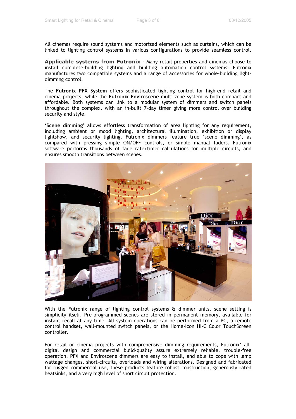All cinemas require sound systems and motorized elements such as curtains, which can be linked to lighting control systems in various configurations to provide seamless control.

**Applicable systems from Futronix -** Many retail properties and cinemas choose to install complete-building lighting and building automation control systems. Futronix manufactures two compatible systems and a range of accessories for whole-building lightdimming control.

The **Futronix PFX System** offers sophisticated lighting control for high-end retail and cinema projects, while the **Futronix Enviroscene** multi-zone system is both compact and affordable. Both systems can link to a modular system of dimmers and switch panels throughout the complex, with an in-built 7-day timer giving more control over building security and style.

**'Scene dimming'** allows effortless transformation of area lighting for any requirement, including ambient or mood lighting, architectural illumination, exhibition or display lightshow, and security lighting. Futronix dimmers feature true 'scene dimming', as compared with pressing simple ON/OFF controls, or simple manual faders. Futronix software performs thousands of fade rate/timer calculations for multiple circuits, and ensures smooth transitions between scenes.



With the Futronix range of lighting control systems & dimmer units, scene setting is simplicity itself. Pre-programmed scenes are stored in permanent memory, available for instant recall at any time. All system operations can be performed from a PC, a remote control handset, wall-mounted switch panels, or the Home-Icon HI-C Color TouchScreen controller.

For retail or cinema projects with comprehensive dimming requirements, Futronix' alldigital design and commercial build-quality assure extremely reliable, trouble-free operation. PFX and Enviroscene dimmers are easy to install, and able to cope with lamp wattage changes, short-circuits, overloads and wiring alterations. Designed and fabricated for rugged commercial use, these products feature robust construction, generously rated heatsinks, and a very high level of short circuit protection.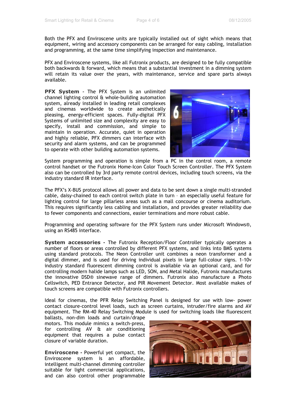Both the PFX and Enviroscene units are typically installed out of sight which means that equipment, wiring and accessory components can be arranged for easy cabling, installation and programming, at the same time simplifying inspection and maintenance.

PFX and Enviroscene systems, like all Futronix products, are designed to be fully compatible both backwards & forward, which means that a substantial investment in a dimming system will retain its value over the years, with maintenance, service and spare parts always available.

**PFX System -** The PFX System is an unlimited channel lighting control & whole-building automation system, already installed in leading retail complexes and cinemas worldwide to create aesthetically pleasing, energy-efficient spaces. Fully-digital PFX Systems of unlimited size and complexity are easy to specify, install and commission, and simple to maintain in operation. Accurate, quiet in operation and highly reliable, PFX dimmers can interface with security and alarm systems, and can be programmed to operate with other building automation systems.



System programming and operation is simple from a PC in the control room, a remote control handset or the Futronix Home-Icon Color Touch Screen Controller. The PFX System also can be controlled by 3rd party remote control devices, including touch screens, via the industry standard IR interface.

The PFX's X-BUS protocol allows all power and data to be sent down a single multi-stranded cable, daisy-chained to each control switch plate in turn – an especially useful feature for lighting control for large pillarless areas such as a mall concourse or cinema auditorium. This requires significantly less cabling and installation, and provides greater reliability due to fewer components and connections, easier terminations and more robust cable.

Programming and operating software for the PFX System runs under Microsoft Windows®, using an RS485 interface.

**System accessories -** The Futronix Reception/Floor Controller typically operates a number of floors or areas controlled by different PFX systems, and links into BMS systems using standard protocols. The Neon Controller unit combines a neon transformer and a digital dimmer, and is used for driving individual pixels in large full-colour signs. 1-10v industry standard fluorescent dimming control is available via an optional card, and for controlling modern halide lamps such as LED, SON, and Metal Halide, Futronix manufactures the innovative DSD® sinewave range of dimmers. Futronix also manufacture a Photo Cellswitch, PED Entrance Detector, and PIR Movement Detector. Most available makes of touch screens are compatible with Futronix controllers.

Ideal for cinemas, the PFR Relay Switching Panel is designed for use with low- power contact closure-control level loads, such as screen curtains, intruder/fire alarms and AV equipment. The RM-40 Relay Switching Module is used for switching loads like fluorescent

ballasts, non-dim loads and curtain/drape motors. This module mimics a switch-press, for controlling AV & air conditioning equipment that requires a pulse contact closure of variable duration.

**Enviroscene** - Powerful yet compact, the Enviroscene system is an affordable, intelligent multi-channel dimming controller suitable for light commercial applications, and can also control other programmable

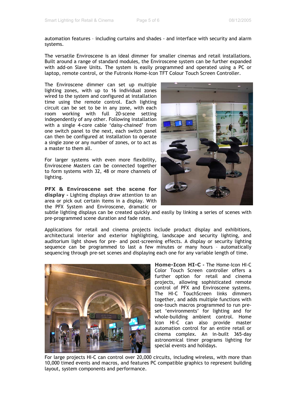automation features – including curtains and shades - and interface with security and alarm systems.

The versatile Enviroscene is an ideal dimmer for smaller cinemas and retail installations. Built around a range of standard modules, the Enviroscene system can be further expanded with add-on Slave Units. The system is easily programmed and operated using a PC or laptop, remote control, or the Futronix Home-Icon TFT Colour Touch Screen Controller.

The Enviroscene dimmer can set up multiple lighting zones, with up to 16 individual zones wired to the system and configured at installation time using the remote control. Each lighting circuit can be set to be in any zone, with each room working with full 20-scene setting independently of any other. Following installation with a single 4-core cable 'daisy-chained' from one switch panel to the next, each switch panel can then be configured at installation to operate a single zone or any number of zones, or to act as a master to them all.

For larger systems with even more flexibility, Enviroscene Masters can be connected together to form systems with 32, 48 or more channels of lighting.

**PFX & Enviroscene set the scene for display -** Lighting displays draw attention to an area or pick out certain items in a display. With the PFX System and Enviroscene, dramatic or



subtle lighting displays can be created quickly and easily by linking a series of scenes with pre-programmed scene duration and fade rates.

Applications for retail and cinema projects include product display and exhibitions, architectural interior and exterior highlighting, landscape and security lighting, and auditorium light shows for pre- and post-screening effects. A display or security lighting sequence can be programmed to last a few minutes or many hours – automatically sequencing through pre-set scenes and displaying each one for any variable length of time.



**Home-Icon HI-C -** The Home-Icon HI-C Color Touch Screen controller offers a further option for retail and cinema projects, allowing sophisticated remote control of PFX and Enviroscene systems. The HI-C TouchScreen links dimmers together, and adds multiple functions with one-touch macros programmed to run preset 'environments' for lighting and for whole-building ambient control. Home Icon HI-C can also provide master automation control for an entire retail or cinema complex. An in-built 365-day astronomical timer programs lighting for special events and holidays.

For large projects HI-C can control over 20,000 circuits, including wireless, with more than 10,000 timed events and macros, and features PC compatible graphics to represent building layout, system components and performance.